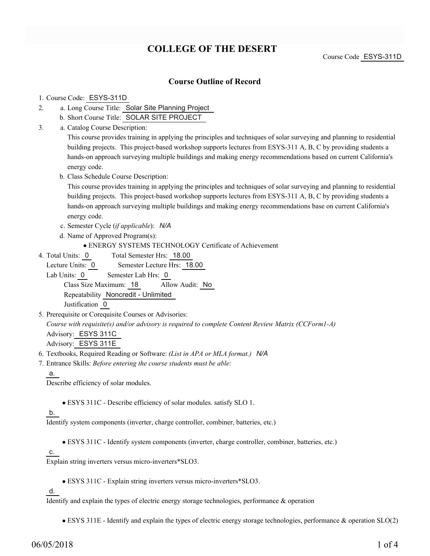# **COLLEGE OF THE DESERT**

Course Code ESYS-311D

## **Course Outline of Record**

#### 1. Course Code: ESYS-311D

- a. Long Course Title: Solar Site Planning Project 2.
	- b. Short Course Title: SOLAR SITE PROJECT
- Catalog Course Description: a. 3.

This course provides training in applying the principles and techniques of solar surveying and planning to residential building projects. This project-based workshop supports lectures from ESYS-311 A, B, C by providing students a hands-on approach surveying multiple buildings and making energy recommendations based on current California's energy code.

b. Class Schedule Course Description:

This course provides training in applying the principles and techniques of solar surveying and planning to residential building projects. This project-based workshop supports lectures from ESYS-311 A, B, C by providing students a hands-on approach surveying multiple buildings and making energy recommendations base on current California's energy code.

- c. Semester Cycle (*if applicable*): *N/A*
- d. Name of Approved Program(s):

ENERGY SYSTEMS TECHNOLOGY Certificate of Achievement

Total Semester Hrs: 18.00 4. Total Units: 0

Lecture Units: 0 Semester Lecture Hrs: 18.00

Lab Units: 0 Semester Lab Hrs: 0

Class Size Maximum: 18 Allow Audit: No Repeatability Noncredit - Unlimited

Justification 0

5. Prerequisite or Corequisite Courses or Advisories:

*Course with requisite(s) and/or advisory is required to complete Content Review Matrix (CCForm1-A)* Advisory: ESYS 311C

Advisory: ESYS 311E

6. Textbooks, Required Reading or Software: *(List in APA or MLA format.) N/A*

Entrance Skills: *Before entering the course students must be able:* 7.

a.

Describe efficiency of solar modules.

ESYS 311C - Describe efficiency of solar modules. satisfy SLO 1.

### b.

Identify system components (inverter, charge controller, combiner, batteries, etc.)

ESYS 311C - Identify system components (inverter, charge controller, combiner, batteries, etc.)

#### c.

Explain string inverters versus micro-inverters\*SLO3.

ESYS 311C - Explain string inverters versus micro-inverters\*SLO3.

d.

Identify and explain the types of electric energy storage technologies, performance & operation

ESYS 311E - Identify and explain the types of electric energy storage technologies, performance & operation SLO(2)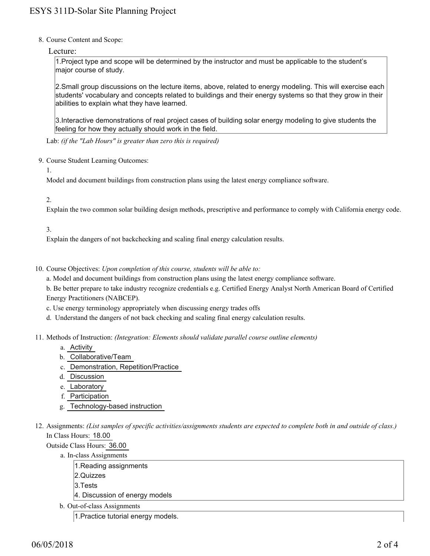8. Course Content and Scope:

### Lecture:

1.Project type and scope will be determined by the instructor and must be applicable to the student's major course of study.

2.Small group discussions on the lecture items, above, related to energy modeling. This will exercise each students' vocabulary and concepts related to buildings and their energy systems so that they grow in their abilities to explain what they have learned.

3.Interactive demonstrations of real project cases of building solar energy modeling to give students the feeling for how they actually should work in the field.

Lab: *(if the "Lab Hours" is greater than zero this is required)*

- 9. Course Student Learning Outcomes:
	- 1.

Model and document buildings from construction plans using the latest energy compliance software.

### 2.

Explain the two common solar building design methods, prescriptive and performance to comply with California energy code.

## 3.

Explain the dangers of not backchecking and scaling final energy calculation results.

10. Course Objectives: Upon completion of this course, students will be able to:

a. Model and document buildings from construction plans using the latest energy compliance software.

b. Be better prepare to take industry recognize credentials e.g. Certified Energy Analyst North American Board of Certified Energy Practitioners (NABCEP).

- c. Use energy terminology appropriately when discussing energy trades offs
- d. Understand the dangers of not back checking and scaling final energy calculation results.
- 11. Methods of Instruction: *(Integration: Elements should validate parallel course outline elements)* 
	- a. Activity
	- b. Collaborative/Team
	- c. Demonstration, Repetition/Practice
	- d. Discussion
	- e. Laboratory
	- f. Participation
	- g. Technology-based instruction
- 12. Assignments: (List samples of specific activities/assignments students are expected to complete both in and outside of class.) In Class Hours: 18.00

Outside Class Hours: 36.00

- a. In-class Assignments
	- 1.Reading assignments
	- 2.Quizzes
	- 3.Tests
	- 4. Discussion of energy models
- b. Out-of-class Assignments

1.Practice tutorial energy models.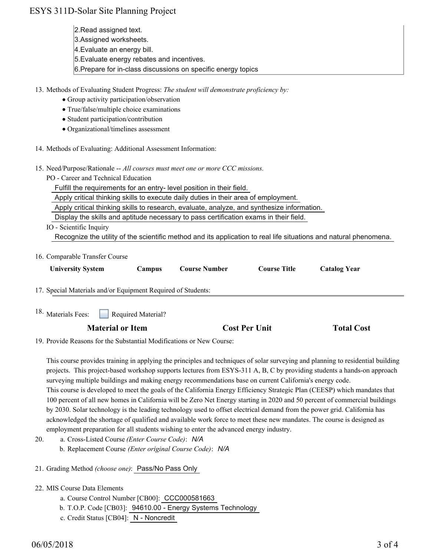# ESYS 311D-Solar Site Planning Project

- 2.Read assigned text.
- 3.Assigned worksheets.
- 4.Evaluate an energy bill.
- 5.Evaluate energy rebates and incentives.
- 6.Prepare for in-class discussions on specific energy topics

13. Methods of Evaluating Student Progress: The student will demonstrate proficiency by:

- Group activity participation/observation
- True/false/multiple choice examinations
- Student participation/contribution
- Organizational/timelines assessment
- 14. Methods of Evaluating: Additional Assessment Information:
- 15. Need/Purpose/Rationale -- All courses must meet one or more CCC missions.
	- PO Career and Technical Education

Fulfill the requirements for an entry- level position in their field.

Apply critical thinking skills to execute daily duties in their area of employment.

Apply critical thinking skills to research, evaluate, analyze, and synthesize information.

Display the skills and aptitude necessary to pass certification exams in their field.

IO - Scientific Inquiry

Recognize the utility of the scientific method and its application to real life situations and natural phenomena.

16. Comparable Transfer Course

| <b>University System</b>                                     | <b>Campus</b>      | <b>Course Number</b> | <b>Course Title</b> | <b>Catalog Year</b> |  |
|--------------------------------------------------------------|--------------------|----------------------|---------------------|---------------------|--|
| 17. Special Materials and/or Equipment Required of Students: |                    |                      |                     |                     |  |
| 18. Materials Fees:                                          | Required Material? |                      |                     |                     |  |

# **Material or Item Cost Per Unit Total Cost Per Unit**

19. Provide Reasons for the Substantial Modifications or New Course:

This course provides training in applying the principles and techniques of solar surveying and planning to residential building projects. This project-based workshop supports lectures from ESYS-311 A, B, C by providing students a hands-on approach surveying multiple buildings and making energy recommendations base on current California's energy code. This course is developed to meet the goals of the California Energy Efficiency Strategic Plan (CEESP) which mandates that 100 percent of all new homes in California will be Zero Net Energy starting in 2020 and 50 percent of commercial buildings by 2030. Solar technology is the leading technology used to offset electrical demand from the power grid. California has acknowledged the shortage of qualified and available work force to meet these new mandates. The course is designed as employment preparation for all students wishing to enter the advanced energy industry.

- a. Cross-Listed Course *(Enter Course Code)*: *N/A* b. Replacement Course *(Enter original Course Code)*: *N/A* 20.
- 21. Grading Method *(choose one)*: Pass/No Pass Only
- MIS Course Data Elements 22.
	- a. Course Control Number [CB00]: CCC000581663
	- b. T.O.P. Code [CB03]: 94610.00 Energy Systems Technology
	- c. Credit Status [CB04]: N Noncredit